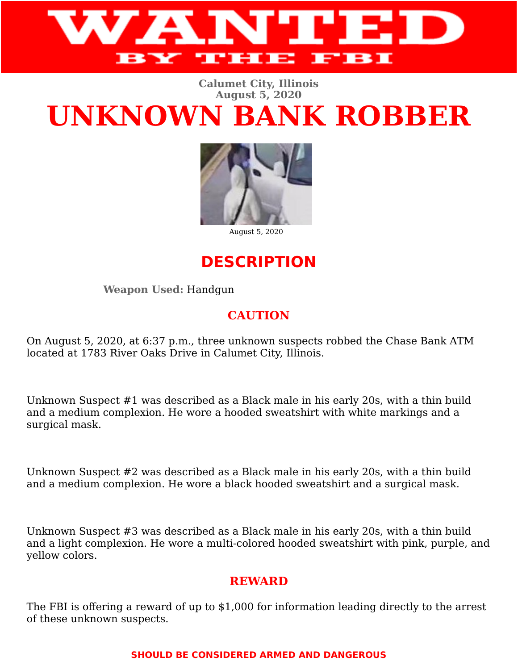

#### **Calumet City, Illinois August 5, 2020**

# **UNKNOWN BANK ROBBER**



August 5, 2020

# **DESCRIPTION**

**Weapon Used:** Handgun

## **CAUTION**

On August 5, 2020, at 6:37 p.m., three unknown suspects robbed the Chase Bank ATM located at 1783 River Oaks Drive in Calumet City, Illinois.

Unknown Suspect #1 was described as a Black male in his early 20s, with a thin build and a medium complexion. He wore a hooded sweatshirt with white markings and a surgical mask.

Unknown Suspect #2 was described as a Black male in his early 20s, with a thin build and a medium complexion. He wore a black hooded sweatshirt and a surgical mask.

Unknown Suspect #3 was described as a Black male in his early 20s, with a thin build and a light complexion. He wore a multi-colored hooded sweatshirt with pink, purple, and yellow colors.

## **REWARD**

The FBI is offering a reward of up to \$1,000 for information leading directly to the arrest of these unknown suspects.

### **SHOULD BE CONSIDERED ARMED AND DANGEROUS**